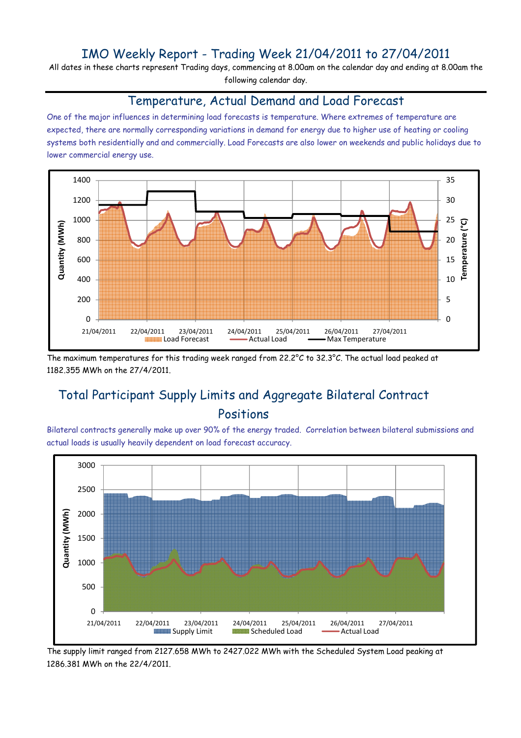### IMO Weekly Report - Trading Week 21/04/2011 to 27/04/2011

All dates in these charts represent Trading days, commencing at 8.00am on the calendar day and ending at 8.00am the following calendar day.

#### Temperature, Actual Demand and Load Forecast

One of the major influences in determining load forecasts is temperature. Where extremes of temperature are expected, there are normally corresponding variations in demand for energy due to higher use of heating or cooling systems both residentially and and commercially. Load Forecasts are also lower on weekends and public holidays due to lower commercial energy use.



The maximum temperatures for this trading week ranged from 22.2°C to 32.3°C. The actual load peaked at 1182.355 MWh on the 27/4/2011.

# Total Participant Supply Limits and Aggregate Bilateral Contract Positions

Bilateral contracts generally make up over 90% of the energy traded. Correlation between bilateral submissions and actual loads is usually heavily dependent on load forecast accuracy.



The supply limit ranged from 2127.658 MWh to 2427.022 MWh with the Scheduled System Load peaking at 1286.381 MWh on the 22/4/2011.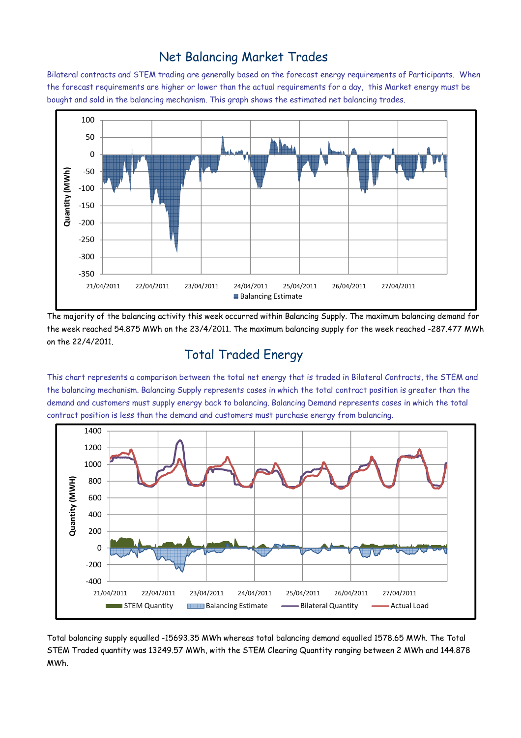### Net Balancing Market Trades

Bilateral contracts and STEM trading are generally based on the forecast energy requirements of Participants. When the forecast requirements are higher or lower than the actual requirements for a day, this Market energy must be bought and sold in the balancing mechanism. This graph shows the estimated net balancing trades.



The majority of the balancing activity this week occurred within Balancing Supply. The maximum balancing demand for the week reached 54.875 MWh on the 23/4/2011. The maximum balancing supply for the week reached -287.477 MWh on the 22/4/2011.

# Total Traded Energy

This chart represents a comparison between the total net energy that is traded in Bilateral Contracts, the STEM and the balancing mechanism. Balancing Supply represents cases in which the total contract position is greater than the demand and customers must supply energy back to balancing. Balancing Demand represents cases in which the total contract position is less than the demand and customers must purchase energy from balancing.



Total balancing supply equalled -15693.35 MWh whereas total balancing demand equalled 1578.65 MWh. The Total STEM Traded quantity was 13249.57 MWh, with the STEM Clearing Quantity ranging between 2 MWh and 144.878 MWh.